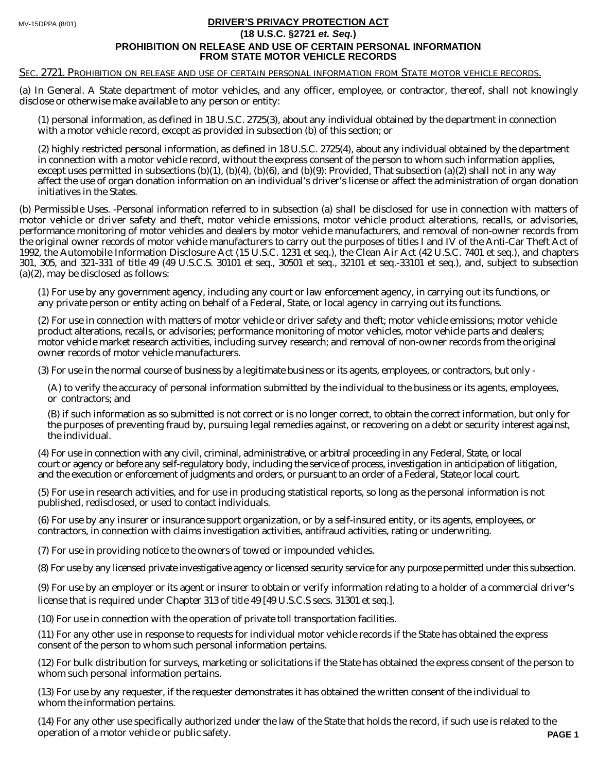## **DRIVER'S PRIVACY PROTECTION ACT (18 U.S.C. §2721** *et. Seq.***) PROHIBITION ON RELEASE AND USE OF CERTAIN PERSONAL INFORMATION FROM STATE MOTOR VEHICLE RECORDS**

## *SEC. 2721. PROHIBITION ON RELEASE AND USE OF CERTAIN PERSONAL INFORMATION FROM STATE MOTOR VEHICLE RECORDS.*

(a) In General. A State department of motor vehicles, and any officer, employee, or contractor, thereof, shall not knowingly disclose or otherwise make available to any person or entity:

(1) personal information, as defined in 18 U.S.C. 2725(3), about any individual obtained by the department in connection with a motor vehicle record, except as provided in subsection (b) of this section; or

(2) highly restricted personal information, as defined in 18 U.S.C. 2725(4), about any individual obtained by the department in connection with a motor vehicle record, without the express consent of the person to whom such information applies, except uses permitted in subsections  $(b)(1)$ ,  $(b)(4)$ ,  $(b)(6)$ , and  $(b)(9)$ : Provided, That subsection  $(a)(2)$  shall not in any way affect the use of organ donation information on an individual's driver's license or affect the administration of organ donation initiatives in the States.

(b) Permissible Uses. -Personal information referred to in subsection (a) shall be disclosed for use in connection with matters of motor vehicle or driver safety and theft, motor vehicle emissions, motor vehicle product alterations, recalls, or advisories, performance monitoring of motor vehicles and dealers by motor vehicle manufacturers, and removal of non-owner records from the original owner records of motor vehicle manufacturers to carry out the purposes of titles I and IV of the Anti-Car Theft Act of 1992, the Automobile Information Disclosure Act (15 U.S.C. 1231 et seq.), the Clean Air Act (42 U.S.C. 7401 et seq.), and chapters 301, 305, and 321-331 of title 49 (49 U.S.C.S. 30101 et seq., 30501 et seq., 32101 et seq.-33101 et seq.), and, subject to subsection (a)(2), may be disclosed as follows:

(1) For use by any government agency, including any court or law enforcement agency, in carrying out its functions, or any private person or entity acting on behalf of a Federal, State, or local agency in carrying out its functions.

(2) For use in connection with matters of motor vehicle or driver safety and theft; motor vehicle emissions; motor vehicle product alterations, recalls, or advisories; performance monitoring of motor vehicles, motor vehicle parts and dealers; motor vehicle market research activities, including survey research; and removal of non-owner records from the original owner records of motor vehicle manufacturers.

(3) For use in the normal course of business by a legitimate business or its agents, employees, or contractors, but only -

(A) to verify the accuracy of personal information submitted by the individual to the business or its agents, employees, or contractors; and

(B) if such information as so submitted is not correct or is no longer correct, to obtain the correct information, but only for the purposes of preventing fraud by, pursuing legal remedies against, or recovering on a debt or security interest against, the individual.

(4) For use in connection with any civil, criminal, administrative, or arbitral proceeding in any Federal, State, or local court or agency or before any self-regulatory body, including the service of process, investigation in anticipation of litigation, and the execution or enforcement of judgments and orders, or pursuant to an order of a Federal, State,or local court.

(5) For use in research activities, and for use in producing statistical reports, so long as the personal information is not published, redisclosed, or used to contact individuals.

(6) For use by any insurer or insurance support organization, or by a self-insured entity, or its agents, employees, or contractors, in connection with claims investigation activities, antifraud activities, rating or underwriting.

(7) For use in providing notice to the owners of towed or impounded vehicles.

(8) For use by any licensed private investigative agency or licensed security service for any purpose permitted under this subsection.

(9) For use by an employer or its agent or insurer to obtain or verify information relating to a holder of a commercial driver's license that is required under Chapter 313 of title 49 [49 U.S.C.S secs. 31301 et seq.].

(10) For use in connection with the operation of private toll transportation facilities.

(11) For any other use in response to requests for individual motor vehicle records if the State has obtained the express consent of the person to whom such personal information pertains.

(12) For bulk distribution for surveys, marketing or solicitations if the State has obtained the express consent of the person to whom such personal information pertains.

(13) For use by any requester, if the requester demonstrates it has obtained the written consent of the individual to whom the information pertains.

(14) For any other use specifically authorized under the law of the State that holds the record, if such use is related to the operation of a motor vehicle or public safety. **PAGE 1**